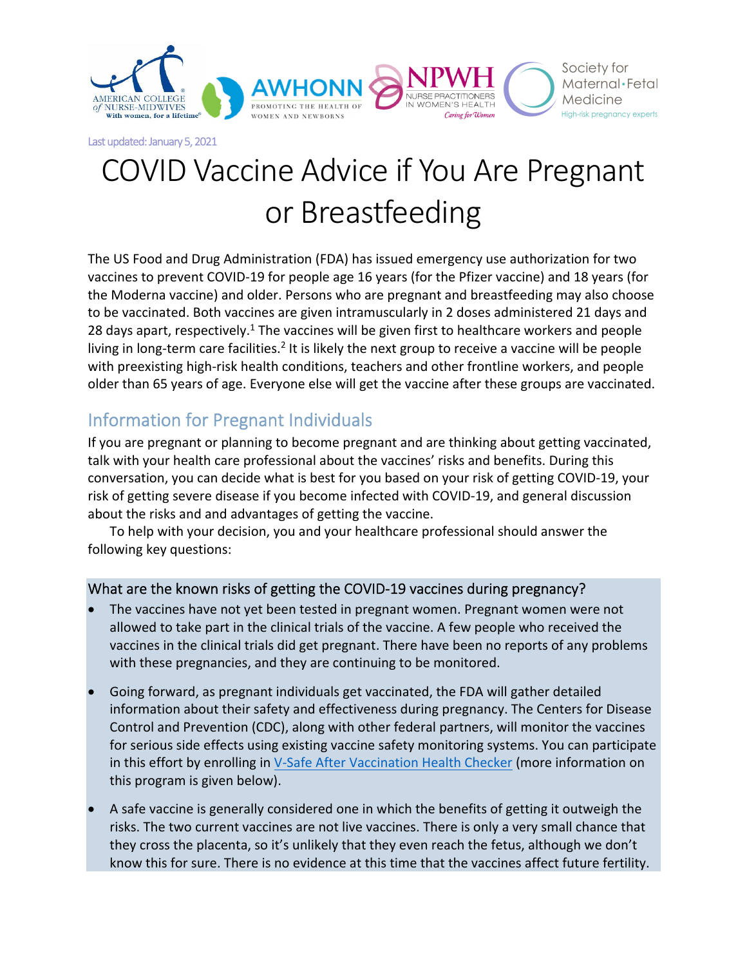

# COVID Vaccine Advice if You Are Pregnant or Breastfeeding

The US Food and Drug Administration (FDA) has issued emergency use authorization for two vaccines to prevent COVID‐19 for people age 16 years (for the Pfizer vaccine) and 18 years (for the Moderna vaccine) and older. Persons who are pregnant and breastfeeding may also choose to be vaccinated. Both vaccines are given intramuscularly in 2 doses administered 21 days and 28 days apart, respectively.<sup>1</sup> The vaccines will be given first to healthcare workers and people living in long-term care facilities.<sup>2</sup> It is likely the next group to receive a vaccine will be people with preexisting high-risk health conditions, teachers and other frontline workers, and people older than 65 years of age. Everyone else will get the vaccine after these groups are vaccinated.

## Information for Pregnant Individuals

If you are pregnant or planning to become pregnant and are thinking about getting vaccinated, talk with your health care professional about the vaccines' risks and benefits. During this conversation, you can decide what is best for you based on your risk of getting COVID‐19, your risk of getting severe disease if you become infected with COVID‐19, and general discussion about the risks and and advantages of getting the vaccine.

To help with your decision, you and your healthcare professional should answer the following key questions:

### What are the known risks of getting the COVID-19 vaccines during pregnancy?

- The vaccines have not yet been tested in pregnant women. Pregnant women were not allowed to take part in the clinical trials of the vaccine. A few people who received the vaccines in the clinical trials did get pregnant. There have been no reports of any problems with these pregnancies, and they are continuing to be monitored.
- Going forward, as pregnant individuals get vaccinated, the FDA will gather detailed information about their safety and effectiveness during pregnancy. The Centers for Disease Control and Prevention (CDC), along with other federal partners, will monitor the vaccines for serious side effects using existing vaccine safety monitoring systems. You can participate in this effort by enrolling in V‐Safe After Vaccination Health Checker (more information on this program is given below).
- A safe vaccine is generally considered one in which the benefits of getting it outweigh the risks. The two current vaccines are not live vaccines. There is only a very small chance that they cross the placenta, so it's unlikely that they even reach the fetus, although we don't know this for sure. There is no evidence at this time that the vaccines affect future fertility.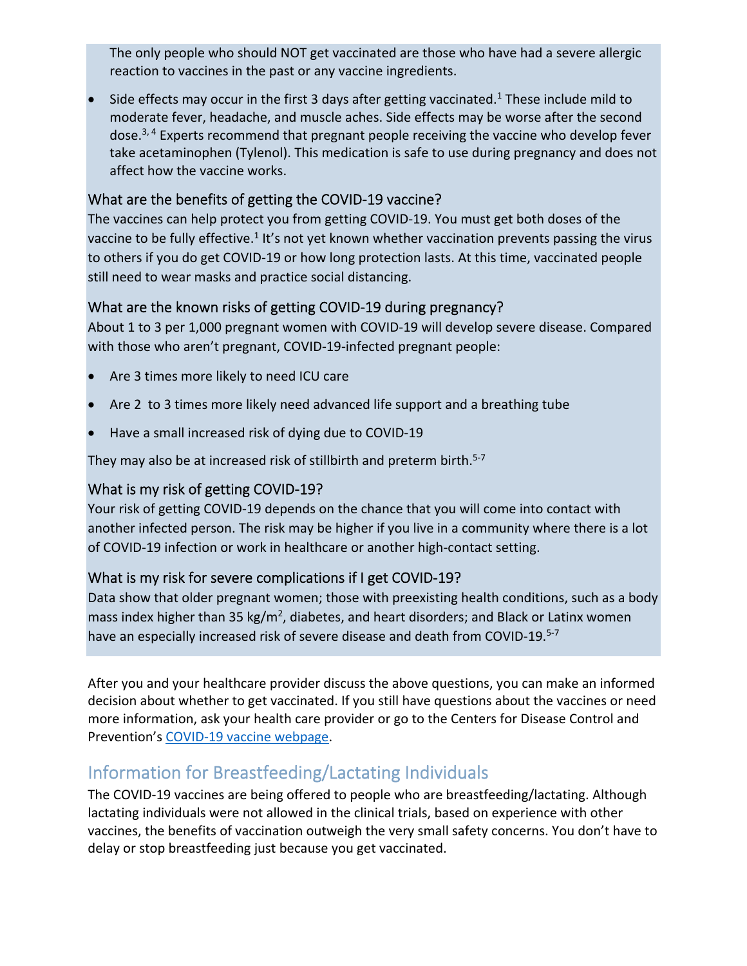The only people who should NOT get vaccinated are those who have had a severe allergic reaction to vaccines in the past or any vaccine ingredients.

Side effects may occur in the first 3 days after getting vaccinated.<sup>1</sup> These include mild to moderate fever, headache, and muscle aches. Side effects may be worse after the second dose. $3,4$  Experts recommend that pregnant people receiving the vaccine who develop fever take acetaminophen (Tylenol). This medication is safe to use during pregnancy and does not affect how the vaccine works.

### What are the benefits of getting the COVID‐19 vaccine?

The vaccines can help protect you from getting COVID‐19. You must get both doses of the vaccine to be fully effective.<sup>1</sup> It's not yet known whether vaccination prevents passing the virus to others if you do get COVID‐19 or how long protection lasts. At this time, vaccinated people still need to wear masks and practice social distancing.

#### What are the known risks of getting COVID‐19 during pregnancy?

About 1 to 3 per 1,000 pregnant women with COVID‐19 will develop severe disease. Compared with those who aren't pregnant, COVID‐19‐infected pregnant people:

- Are 3 times more likely to need ICU care
- Are 2 to 3 times more likely need advanced life support and a breathing tube
- Have a small increased risk of dying due to COVID‐19

They may also be at increased risk of stillbirth and preterm birth.<sup>5-7</sup>

#### What is my risk of getting COVID‐19?

Your risk of getting COVID-19 depends on the chance that you will come into contact with another infected person. The risk may be higher if you live in a community where there is a lot of COVID‐19 infection or work in healthcare or another high‐contact setting.

### What is my risk for severe complications if I get COVID‐19?

Data show that older pregnant women; those with preexisting health conditions, such as a body mass index higher than 35 kg/m<sup>2</sup>, diabetes, and heart disorders; and Black or Latinx women have an especially increased risk of severe disease and death from COVID-19.<sup>5-7</sup>

After you and your healthcare provider discuss the above questions, you can make an informed decision about whether to get vaccinated. If you still have questions about the vaccines or need more information, ask your health care provider or go to the Centers for Disease Control and Prevention's COVID‐19 vaccine webpage.

## Information for Breastfeeding/Lactating Individuals

The COVID‐19 vaccines are being offered to people who are breastfeeding/lactating. Although lactating individuals were not allowed in the clinical trials, based on experience with other vaccines, the benefits of vaccination outweigh the very small safety concerns. You don't have to delay or stop breastfeeding just because you get vaccinated.